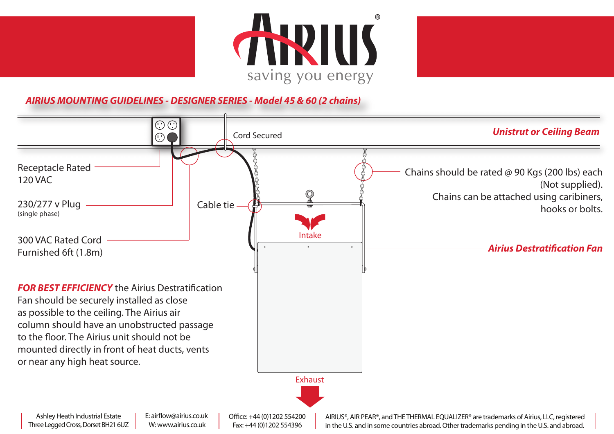



## **AIRIUS MOUNTING GUIDELINES - DESIGNER SERIES - Model 45 & 60 (2 chains)**